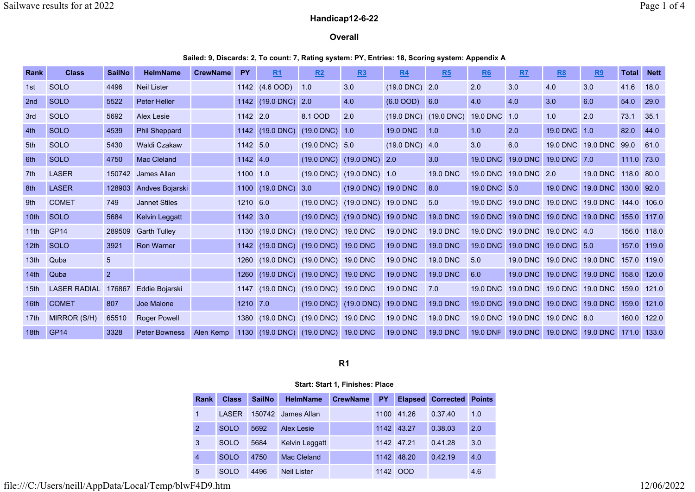# Handicap12-6-22

### **Overall**

#### Sailed: 9, Discards: 2, To count: 7, Rating system: PY, Entries: 18, Scoring system: Appendix A

| Rank             | <b>Class</b>        | <b>SailNo</b>  | <b>HelmName</b>      | <b>CrewName</b> | <b>PY</b>  | R1              | R2                                  | R3                                            | <b>R4</b>                | R5                                        | <u>R6</u>       | RZ                    | R8                             | R9                   | <b>Total</b> | <b>Nett</b> |
|------------------|---------------------|----------------|----------------------|-----------------|------------|-----------------|-------------------------------------|-----------------------------------------------|--------------------------|-------------------------------------------|-----------------|-----------------------|--------------------------------|----------------------|--------------|-------------|
| 1st              | <b>SOLO</b>         | 4496           | <b>Neil Lister</b>   |                 |            | 1142 (4.6 OOD)  | 1.0                                 | 3.0                                           | $(19.0 \text{ DNC})$ 2.0 |                                           | 2.0             | 3.0                   | 4.0                            | 3.0                  | 41.6         | 18.0        |
| 2 <sub>nd</sub>  | <b>SOLO</b>         | 5522           | <b>Peter Heller</b>  |                 |            | 1142 (19.0 DNC) | 2.0                                 | 4.0                                           | $(6.0 \text{ OOD})$ 6.0  |                                           | 4.0             | 4.0                   | 3.0                            | 6.0                  | 54.0         | 29.0        |
| 3rd              | <b>SOLO</b>         | 5692           | Alex Lesie           |                 | 1142 2.0   |                 | 8.1 OOD                             | 2.0                                           |                          | $(19.0 \text{ DNC})$ $(19.0 \text{ DNC})$ | <b>19.0 DNC</b> | 1.0                   | 1.0                            | 2.0                  | 73.1         | 35.1        |
| 4th              | <b>SOLO</b>         | 4539           | <b>Phil Sheppard</b> |                 |            | 1142 (19.0 DNC) | $(19.0$ DNC) $1.0$                  |                                               | <b>19.0 DNC</b>          | $\vert$ 1.0                               | 1.0             | 2.0                   | 19.0 DNC                       | 1.0                  | 82.0         | 44.0        |
| 5th              | <b>SOLO</b>         | 5430           | <b>Waldi Czakaw</b>  |                 | 1142 5.0   |                 | $(19.0 \text{ DNC})$ 5.0            |                                               | $(19.0 \text{ DNC})$ 4.0 |                                           | 3.0             | 6.0                   |                                | 19.0 DNC 19.0 DNC    | 99.0         | 61.0        |
| 6th              | <b>SOLO</b>         | 4750           | <b>Mac Cleland</b>   |                 | $1142$ 4.0 |                 |                                     | $(19.0 \text{ DNC})$ $(19.0 \text{ DNC})$     | 2.0                      | 3.0                                       | <b>19.0 DNC</b> | <b>19.0 DNC</b>       | 19.0 DNC 7.0                   |                      | 111.0 73.0   |             |
| 7th              | <b>LASER</b>        |                | 150742 James Allan   |                 | 1100 1.0   |                 |                                     | $(19.0 \text{ DNC})$ $(19.0 \text{ DNC})$ 1.0 |                          | <b>19.0 DNC</b>                           |                 | 19.0 DNC 19.0 DNC 2.0 |                                | 19.0 DNC 118.0 80.0  |              |             |
| 8th              | <b>LASER</b>        | 128903         | Andves Bojarski      |                 |            | 1100 (19.0 DNC) | 3.0                                 | $(19.0$ DNC)                                  | 19.0 DNC                 | 8.0                                       | 19.0 DNC 5.0    |                       | 19.0 DNC                       | 19.0 DNC 130.0 92.0  |              |             |
| 9th              | <b>COMET</b>        | 749            | <b>Jannet Stiles</b> |                 | 1210 6.0   |                 |                                     | (19.0 DNC) (19.0 DNC) 19.0 DNC                |                          | 5.0                                       |                 |                       | 19.0 DNC 19.0 DNC 19.0 DNC     | 19.0 DNC 144.0 106.0 |              |             |
| 10th             | <b>SOLO</b>         | 5684           | Kelvin Leggatt       |                 | 1142 3.0   |                 |                                     | $(19.0 \text{ DNC})$ $(19.0 \text{ DNC})$     | <b>19.0 DNC</b>          | <b>19.0 DNC</b>                           | <b>19.0 DNC</b> |                       | 19.0 DNC 19.0 DNC              | 19.0 DNC             | 155.0 117.0  |             |
| 11th             | GP <sub>14</sub>    | 289509         | <b>Garth Tulley</b>  |                 |            | 1130 (19.0 DNC) | (19.0 DNC) 19.0 DNC                 |                                               | <b>19.0 DNC</b>          | <b>19.0 DNC</b>                           |                 |                       | 19.0 DNC 19.0 DNC 19.0 DNC 4.0 |                      | 156.0 118.0  |             |
| 12 <sub>th</sub> | <b>SOLO</b>         | 3921           | <b>Ron Warner</b>    |                 |            |                 | 1142 (19.0 DNC) (19.0 DNC) 19.0 DNC |                                               | <b>19.0 DNC</b>          | <b>19.0 DNC</b>                           | <b>19.0 DNC</b> |                       | 19.0 DNC 19.0 DNC 5.0          |                      |              | 157.0 119.0 |
| 13 <sub>th</sub> | Quba                | 5              |                      |                 |            |                 | 1260 (19.0 DNC) (19.0 DNC) 19.0 DNC |                                               | <b>19.0 DNC</b>          | <b>19.0 DNC</b>                           | 5.0             |                       | 19.0 DNC 19.0 DNC 19.0 DNC     |                      | 157.0 119.0  |             |
| 14th             | Quba                | $\overline{2}$ |                      |                 |            |                 | 1260 (19.0 DNC) (19.0 DNC) 19.0 DNC |                                               | <b>19.0 DNC</b>          | <b>19.0 DNC</b>                           | 6.0             |                       | 19.0 DNC 19.0 DNC              | 19.0 DNC 158.0       |              | 120.0       |
| 15th             | <b>LASER RADIAL</b> | 176867         | Eddie Bojarski       |                 |            |                 | 1147 (19.0 DNC) (19.0 DNC) 19.0 DNC |                                               | <b>19.0 DNC</b>          | 7.0                                       | <b>19.0 DNC</b> |                       | 19.0 DNC 19.0 DNC              | 19.0 DNC 159.0       |              | 121.0       |
| 16th             | <b>COMET</b>        | 807            | Joe Malone           |                 | 1210 7.0   |                 |                                     | $(19.0 \text{ DNC})$ $(19.0 \text{ DNC})$     | <b>19.0 DNC</b>          | <b>19.0 DNC</b>                           | <b>19.0 DNC</b> |                       | 19.0 DNC 19.0 DNC              | 19.0 DNC             | 159.0        | 121.0       |
| 17 <sub>th</sub> | MIRROR (S/H)        | 65510          | <b>Roger Powell</b>  |                 |            | 1380 (19.0 DNC) | (19.0 DNC) 19.0 DNC                 |                                               | <b>19.0 DNC</b>          | <b>19.0 DNC</b>                           | 19.0 DNC        |                       | 19.0 DNC 19.0 DNC 8.0          |                      |              | 160.0 122.0 |
| 18 <sub>th</sub> | GP <sub>14</sub>    | 3328           | <b>Peter Bowness</b> | Alen Kemp       |            |                 | 1130 (19.0 DNC) (19.0 DNC) 19.0 DNC |                                               | 19.0 DNC                 | <b>19.0 DNC</b>                           | 19.0 DNF        |                       | 19.0 DNC 19.0 DNC              | 19.0 DNC             | 171.0        | 133.0       |

R1

#### Start: Start 1, Finishes: Place

| Rank           | <b>Class</b> | <b>SailNo</b> | <b>HelmName</b>    | <b>CrewName</b> | <b>PY</b> |            | <b>Elapsed</b> Corrected | <b>Points</b> |
|----------------|--------------|---------------|--------------------|-----------------|-----------|------------|--------------------------|---------------|
| 1              | <b>LASER</b> | 150742        | James Allan        |                 | 1100      | 41.26      | 0.37.40                  | 1.0           |
| $\overline{2}$ | <b>SOLO</b>  | 5692          | <b>Alex Lesie</b>  |                 |           | 1142 43.27 | 0.38.03                  | 2.0           |
| 3              | <b>SOLO</b>  | 5684          | Kelvin Leggatt     |                 |           | 1142 47.21 | 0.41.28                  | 3.0           |
| $\overline{4}$ | <b>SOLO</b>  | 4750          | Mac Cleland        |                 |           | 1142 48.20 | 0.42.19                  | 4.0           |
| 5              | <b>SOLO</b>  | 4496          | <b>Neil Lister</b> |                 | 1142      | <b>OOD</b> |                          | 4.6           |

file:///C:/Users/neill/AppData/Local/Temp/blwF4D9.htm 12/06/2022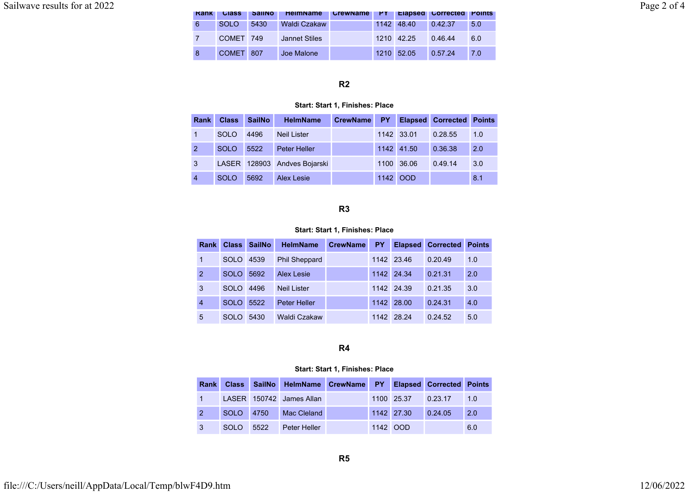| Sailwave results for at 2022 |      |              |               |                      |                                      |            |         |     |
|------------------------------|------|--------------|---------------|----------------------|--------------------------------------|------------|---------|-----|
|                              | Rank | <b>Class</b> | <b>SailNo</b> | <b>HelmName</b>      | CrewName PY Elapsed Corrected Points |            |         |     |
|                              |      | <b>SOLO</b>  | 5430          | Waldi Czakaw         |                                      | 1142 48.40 | 0.42.37 | 5.0 |
|                              |      | COMET 749    |               | <b>Jannet Stiles</b> |                                      | 1210 42.25 | 0.46.44 | 6.0 |
|                              |      | COMET 807    |               | Joe Malone           |                                      | 1210 52.05 | 0.57.24 | 7.0 |

# R2

#### Start: Start 1, Finishes: Place

| <b>Rank</b>    | <b>Class</b> | <b>SailNo</b> | <b>HelmName</b>              | CrewName | PY.      |            | <b>Elapsed Corrected Points</b> |     |
|----------------|--------------|---------------|------------------------------|----------|----------|------------|---------------------------------|-----|
|                | <b>SOLO</b>  | 4496          | <b>Neil Lister</b>           |          |          | 1142 33.01 | 0.28.55                         | 1.0 |
| $\overline{2}$ | <b>SOLO</b>  | 5522          | <b>Peter Heller</b>          |          |          | 1142 41.50 | 0.36.38                         | 2.0 |
| 3              |              |               | LASER 128903 Andves Bojarski |          |          | 1100 36.06 | 0.49.14                         | 3.0 |
| $\overline{4}$ | <b>SOLO</b>  | 5692          | Alex Lesie                   |          | 1142 OOD |            |                                 | 8.1 |

### R3

### Start: Start 1, Finishes: Place

| Rank           | <b>Class</b> | <b>SailNo</b> | <b>HelmName</b>      | <b>CrewName</b> | <b>PY</b> | <b>Elapsed</b> | <b>Corrected</b> | <b>Points</b> |
|----------------|--------------|---------------|----------------------|-----------------|-----------|----------------|------------------|---------------|
| 1              | <b>SOLO</b>  | 4539          | <b>Phil Sheppard</b> |                 |           | 1142 23.46     | 0.20.49          | 1.0           |
| 2              | <b>SOLO</b>  | 5692          | <b>Alex Lesie</b>    |                 |           | 1142 24.34     | 0.21.31          | 2.0           |
| 3              | SOLO.        | 4496          | <b>Neil Lister</b>   |                 |           | 1142 24.39     | 0.21.35          | 3.0           |
| $\overline{4}$ | <b>SOLO</b>  | 5522          | <b>Peter Heller</b>  |                 | 1142      | 28.00          | 0.24.31          | 4.0           |
| 5              | SOLO.        | 5430          | Waldi Czakaw         |                 |           | 1142 28.24     | 0.24.52          | 5.0           |

# R4

#### Start: Start 1, Finishes: Place

|   |           |      | Rank Class SailNo HelmName CrewName PY Elapsed Corrected Points |  |                    |         |     |
|---|-----------|------|-----------------------------------------------------------------|--|--------------------|---------|-----|
|   |           |      | LASER 150742 James Allan                                        |  | 1100 25.37 0.23.17 |         | 1.0 |
|   | SOLO 4750 |      | Mac Cleland                                                     |  | 1142 27.30         | 0.24.05 | 2.0 |
| 3 | -SOLO     | 5522 | <b>Peter Heller</b>                                             |  | 1142 OOD           |         | 6.0 |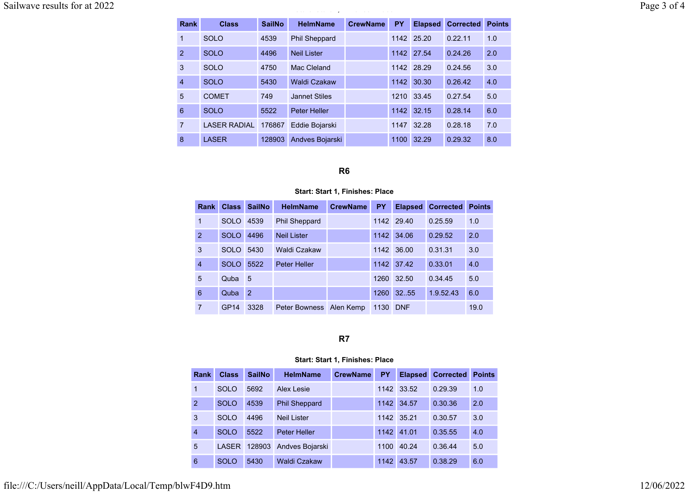Sailwave results for at 2022 Page 3 of 4

#### Start: Start 1, Finishes: Place

| Rank           | <b>Class</b>        | <b>SailNo</b> | <b>HelmName</b>      | <b>CrewName</b> | <b>PY</b> | <b>Elapsed</b> | <b>Corrected</b> | <b>Points</b> |
|----------------|---------------------|---------------|----------------------|-----------------|-----------|----------------|------------------|---------------|
| 1              | <b>SOLO</b>         | 4539          | <b>Phil Sheppard</b> |                 |           | 1142 25.20     | 0.22.11          | 1.0           |
| 2              | <b>SOLO</b>         | 4496          | <b>Neil Lister</b>   |                 |           | 1142 27.54     | 0.24.26          | 2.0           |
| 3              | <b>SOLO</b>         | 4750          | Mac Cleland          |                 |           | 1142 28.29     | 0.24.56          | 3.0           |
| $\overline{4}$ | <b>SOLO</b>         | 5430          | <b>Waldi Czakaw</b>  |                 | 1142      | 30.30          | 0.26.42          | 4.0           |
| 5              | <b>COMET</b>        | 749           | <b>Jannet Stiles</b> |                 | 1210      | 33.45          | 0.27.54          | 5.0           |
| 6              | <b>SOLO</b>         | 5522          | <b>Peter Heller</b>  |                 | 1142      | 32.15          | 0.28.14          | 6.0           |
| $\overline{7}$ | <b>LASER RADIAL</b> | 176867        | Eddie Bojarski       |                 | 1147      | 32.28          | 0.28.18          | 7.0           |
| 8              | <b>LASER</b>        | 128903        | Andves Bojarski      |                 | 1100      | 32.29          | 0.29.32          | 8.0           |

# R6

#### Start: Start 1, Finishes: Place

|                | Rank | <b>Class</b>     | <b>SailNo</b>  | <b>HelmName</b>      | <b>CrewName</b> | <b>PY</b> | <b>Elapsed</b> | <b>Corrected</b> | <b>Points</b> |
|----------------|------|------------------|----------------|----------------------|-----------------|-----------|----------------|------------------|---------------|
| 1              |      | <b>SOLO</b>      | 4539           | <b>Phil Sheppard</b> |                 |           | 1142 29.40     | 0.25.59          | 1.0           |
| $\overline{2}$ |      | <b>SOLO</b>      | 4496           | <b>Neil Lister</b>   |                 | 1142      | 34.06          | 0.29.52          | 2.0           |
| 3              |      | SOLO.            | 5430           | Waldi Czakaw         |                 | 1142      | 36.00          | 0.31.31          | 3.0           |
| $\overline{4}$ |      | <b>SOLO</b>      | 5522           | <b>Peter Heller</b>  |                 | 1142      | 37.42          | 0.33.01          | 4.0           |
| 5              |      | Quba             | 5              |                      |                 | 1260      | 32.50          | 0.34.45          | 5.0           |
| 6              |      | Quba             | $\overline{2}$ |                      |                 | 1260      | 32.55          | 1.9.52.43        | 6.0           |
| 7              |      | GP <sub>14</sub> | 3328           | <b>Peter Bowness</b> | Alen Kemp       | 1130      | <b>DNF</b>     |                  | 19.0          |

# R7

#### Start: Start 1, Finishes: Place

| Rank           | <b>Class</b> | <b>SailNo</b> | <b>HelmName</b>      | <b>CrewName</b> | <b>PY</b> | <b>Elapsed</b> | <b>Corrected</b> | <b>Points</b> |
|----------------|--------------|---------------|----------------------|-----------------|-----------|----------------|------------------|---------------|
| 1              | <b>SOLO</b>  | 5692          | Alex Lesie           |                 |           | 1142 33.52     | 0.29.39          | 1.0           |
| $\overline{2}$ | <b>SOLO</b>  | 4539          | <b>Phil Sheppard</b> |                 | 1142      | 34.57          | 0.30.36          | 2.0           |
| 3              | <b>SOLO</b>  | 4496          | <b>Neil Lister</b>   |                 |           | 1142 35.21     | 0.30.57          | 3.0           |
| $\overline{4}$ | <b>SOLO</b>  | 5522          | Peter Heller         |                 | 1142      | 41.01          | 0.35.55          | 4.0           |
| 5              | <b>LASER</b> | 128903        | Andves Bojarski      |                 | 1100      | 40.24          | 0.36.44          | 5.0           |
| 6              | <b>SOLO</b>  | 5430          | Waldi Czakaw         |                 | 1142      | 43.57          | 0.38.29          | 6.0           |